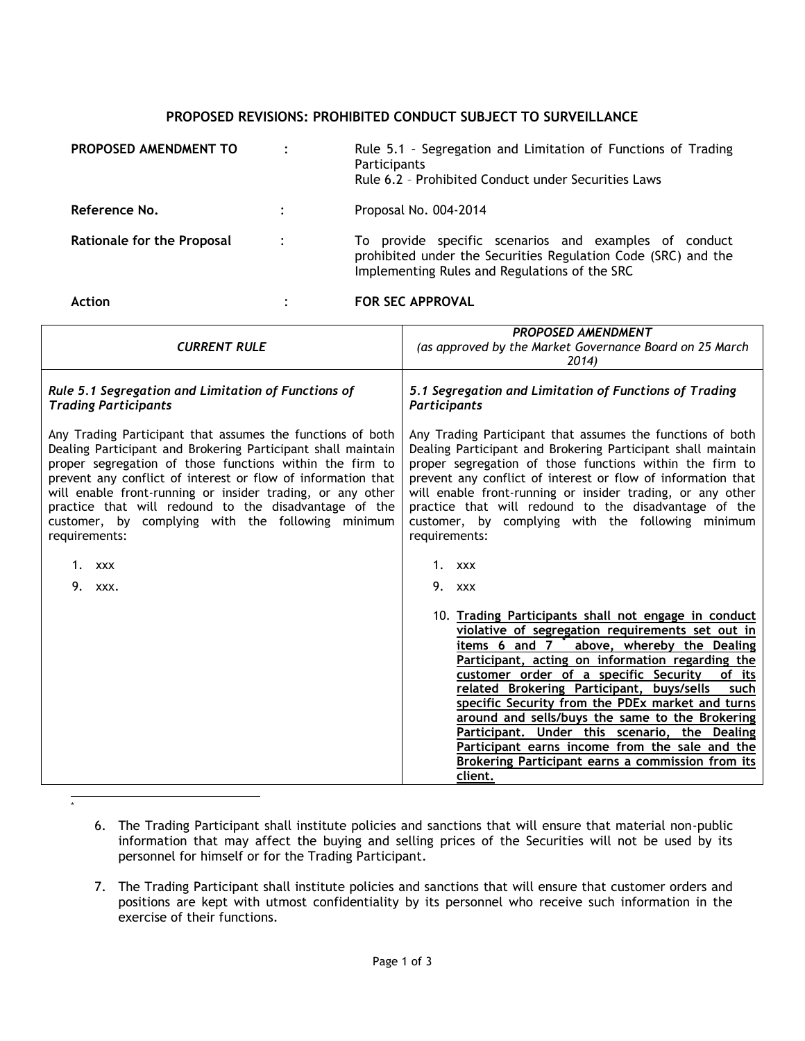## **PROPOSED REVISIONS: PROHIBITED CONDUCT SUBJECT TO SURVEILLANCE**

| PROPOSED AMENDMENT TO             |                | Rule 5.1 - Segregation and Limitation of Functions of Trading<br>Participants<br>Rule 6.2 - Prohibited Conduct under Securities Laws                                    |
|-----------------------------------|----------------|-------------------------------------------------------------------------------------------------------------------------------------------------------------------------|
| Reference No.                     | $\ddot{\cdot}$ | Proposal No. 004-2014                                                                                                                                                   |
| <b>Rationale for the Proposal</b> | $\ddot{\cdot}$ | To provide specific scenarios and examples of conduct<br>prohibited under the Securities Regulation Code (SRC) and the<br>Implementing Rules and Regulations of the SRC |
| <b>Action</b>                     |                | <b>FOR SEC APPROVAL</b>                                                                                                                                                 |

| <b>CURRENT RULE</b>                                                                                                                                                                                                                                                                                                                                                                                                                                                           | <b>PROPOSED AMENDMENT</b><br>(as approved by the Market Governance Board on 25 March<br>2014)                                                                                                                                                                                                                                                                                                                                                                                                                                                                                              |  |
|-------------------------------------------------------------------------------------------------------------------------------------------------------------------------------------------------------------------------------------------------------------------------------------------------------------------------------------------------------------------------------------------------------------------------------------------------------------------------------|--------------------------------------------------------------------------------------------------------------------------------------------------------------------------------------------------------------------------------------------------------------------------------------------------------------------------------------------------------------------------------------------------------------------------------------------------------------------------------------------------------------------------------------------------------------------------------------------|--|
| Rule 5.1 Segregation and Limitation of Functions of<br><b>Trading Participants</b>                                                                                                                                                                                                                                                                                                                                                                                            | 5.1 Segregation and Limitation of Functions of Trading<br>Participants                                                                                                                                                                                                                                                                                                                                                                                                                                                                                                                     |  |
| Any Trading Participant that assumes the functions of both<br>Dealing Participant and Brokering Participant shall maintain<br>proper segregation of those functions within the firm to<br>prevent any conflict of interest or flow of information that<br>will enable front-running or insider trading, or any other<br>practice that will redound to the disadvantage of the<br>customer, by complying with the following minimum<br>requirements:<br>1. $XXX$<br>9.<br>XXX. | Any Trading Participant that assumes the functions of both<br>Dealing Participant and Brokering Participant shall maintain<br>proper segregation of those functions within the firm to<br>prevent any conflict of interest or flow of information that<br>will enable front-running or insider trading, or any other<br>practice that will redound to the disadvantage of the<br>customer, by complying with the following minimum<br>requirements:<br>1. xxx<br>9. xxx                                                                                                                    |  |
|                                                                                                                                                                                                                                                                                                                                                                                                                                                                               | 10. Trading Participants shall not engage in conduct<br>violative of segregation requirements set out in<br>items 6 and 7 above, whereby the Dealing<br>Participant, acting on information regarding the<br>customer order of a specific Security<br>of its<br>related Brokering Participant, buys/sells<br>such<br>specific Security from the PDEx market and turns<br>around and sells/buys the same to the Brokering<br>Participant. Under this scenario, the Dealing<br>Participant earns income from the sale and the<br>Brokering Participant earns a commission from its<br>client. |  |

 \*

- 6. The Trading Participant shall institute policies and sanctions that will ensure that material non-public information that may affect the buying and selling prices of the Securities will not be used by its personnel for himself or for the Trading Participant.
- 7. The Trading Participant shall institute policies and sanctions that will ensure that customer orders and positions are kept with utmost confidentiality by its personnel who receive such information in the exercise of their functions.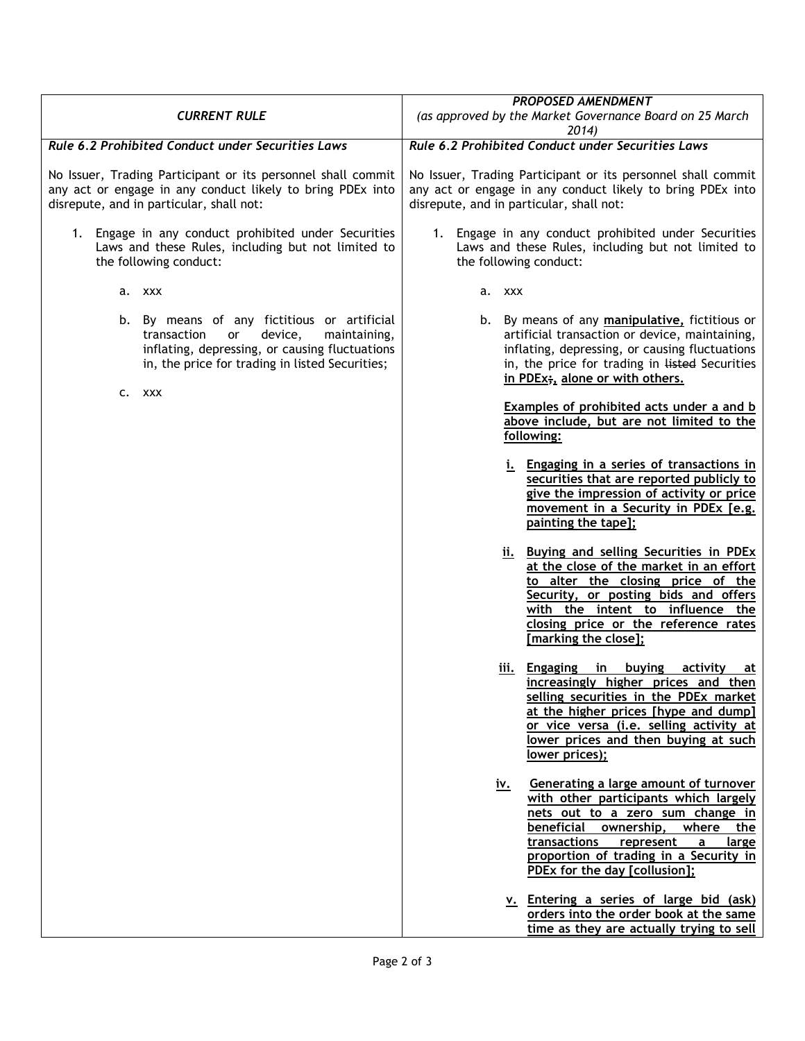| <b>CURRENT RULE</b>                                                                                                                                                                              | <b>PROPOSED AMENDMENT</b><br>(as approved by the Market Governance Board on 25 March<br>2014)                                                                                                                                                                                                             |
|--------------------------------------------------------------------------------------------------------------------------------------------------------------------------------------------------|-----------------------------------------------------------------------------------------------------------------------------------------------------------------------------------------------------------------------------------------------------------------------------------------------------------|
| Rule 6.2 Prohibited Conduct under Securities Laws                                                                                                                                                | Rule 6.2 Prohibited Conduct under Securities Laws                                                                                                                                                                                                                                                         |
| No Issuer, Trading Participant or its personnel shall commit<br>any act or engage in any conduct likely to bring PDEx into<br>disrepute, and in particular, shall not:                           | No Issuer, Trading Participant or its personnel shall commit<br>any act or engage in any conduct likely to bring PDEx into<br>disrepute, and in particular, shall not:                                                                                                                                    |
| 1. Engage in any conduct prohibited under Securities<br>Laws and these Rules, including but not limited to<br>the following conduct:                                                             | 1. Engage in any conduct prohibited under Securities<br>Laws and these Rules, including but not limited to<br>the following conduct:                                                                                                                                                                      |
| a. xxx                                                                                                                                                                                           | a. xxx                                                                                                                                                                                                                                                                                                    |
| b. By means of any fictitious or artificial<br>transaction<br>maintaining,<br>device,<br>or<br>inflating, depressing, or causing fluctuations<br>in, the price for trading in listed Securities; | b. By means of any manipulative, fictitious or<br>artificial transaction or device, maintaining,<br>inflating, depressing, or causing fluctuations<br>in, the price for trading in listed Securities<br>in PDEx;, alone or with others.                                                                   |
| XXX<br>c.                                                                                                                                                                                        | Examples of prohibited acts under a and b<br>above include, but are not limited to the<br>following:                                                                                                                                                                                                      |
|                                                                                                                                                                                                  | i. Engaging in a series of transactions in<br>securities that are reported publicly to<br>give the impression of activity or price<br>movement in a Security in PDEx [e.g.<br>painting the tape];                                                                                                         |
|                                                                                                                                                                                                  | ii. Buying and selling Securities in PDEx<br>at the close of the market in an effort<br>to alter the closing price of the<br>Security, or posting bids and offers<br>with the intent to influence the<br>closing price or the reference rates<br>[marking the close];                                     |
|                                                                                                                                                                                                  | Engaging<br>buying<br>activity<br>111.<br>în<br>at<br>increasingly higher prices and then<br>selling securities in the PDEx market<br>at the higher prices [hype and dump]<br>or vice versa (i.e. selling activity at<br>lower prices and then buying at such<br>lower prices);                           |
|                                                                                                                                                                                                  | Generating a large amount of turnover<br><u>iv.</u><br>with other participants which largely<br>nets out to a zero sum change in<br>beneficial<br>ownership,<br>where<br>the<br>transactions<br>represent<br>a<br><u>large</u><br>proportion of trading in a Security in<br>PDEx for the day [collusion]; |
|                                                                                                                                                                                                  | v. Entering a series of large bid (ask)<br>orders into the order book at the same<br>time as they are actually trying to sell                                                                                                                                                                             |